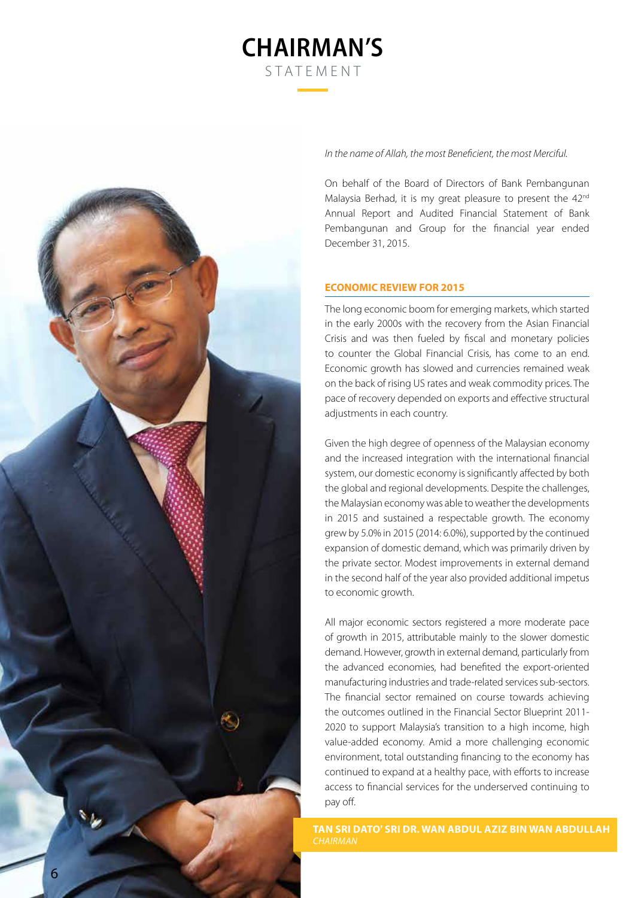# **Chairman's** STATEMENT



*In the name of Allah, the most Beneficient, the most Merciful.*

On behalf of the Board of Directors of Bank Pembangunan Malaysia Berhad, it is my great pleasure to present the 42<sup>nd</sup> Annual Report and Audited Financial Statement of Bank Pembangunan and Group for the financial year ended December 31, 2015.

# **ECONOMIC REVIEW FOR 2015**

The long economic boom for emerging markets, which started in the early 2000s with the recovery from the Asian Financial Crisis and was then fueled by fiscal and monetary policies to counter the Global Financial Crisis, has come to an end. Economic growth has slowed and currencies remained weak on the back of rising US rates and weak commodity prices. The pace of recovery depended on exports and effective structural adjustments in each country.

Given the high degree of openness of the Malaysian economy and the increased integration with the international financial system, our domestic economy is significantly affected by both the global and regional developments. Despite the challenges, the Malaysian economy was able to weather the developments in 2015 and sustained a respectable growth. The economy grew by 5.0% in 2015 (2014: 6.0%), supported by the continued expansion of domestic demand, which was primarily driven by the private sector. Modest improvements in external demand in the second half of the year also provided additional impetus to economic growth.

All major economic sectors registered a more moderate pace of growth in 2015, attributable mainly to the slower domestic demand. However, growth in external demand, particularly from the advanced economies, had benefited the export-oriented manufacturing industries and trade-related services sub-sectors. The financial sector remained on course towards achieving the outcomes outlined in the Financial Sector Blueprint 2011- 2020 to support Malaysia's transition to a high income, high value-added economy. Amid a more challenging economic environment, total outstanding financing to the economy has continued to expand at a healthy pace, with efforts to increase access to financial services for the underserved continuing to pay off.

**TAN SRI DATO' SRI DR. WAN ABDUL AZIZ BIN WAN ABDULLAH**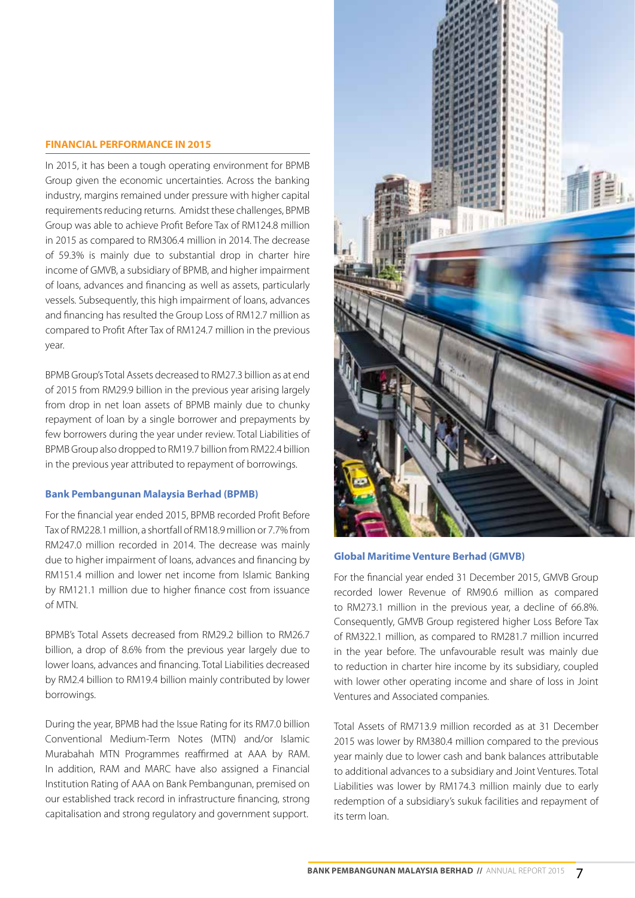#### **FINANCIAL PERFORMANCE IN 2015**

In 2015, it has been a tough operating environment for BPMB Group given the economic uncertainties. Across the banking industry, margins remained under pressure with higher capital requirements reducing returns. Amidst these challenges, BPMB Group was able to achieve Profit Before Tax of RM124.8 million in 2015 as compared to RM306.4 million in 2014. The decrease of 59.3% is mainly due to substantial drop in charter hire income of GMVB, a subsidiary of BPMB, and higher impairment of loans, advances and financing as well as assets, particularly vessels. Subsequently, this high impairment of loans, advances and financing has resulted the Group Loss of RM12.7 million as compared to Profit After Tax of RM124.7 million in the previous year.

BPMB Group's Total Assets decreased to RM27.3 billion as at end of 2015 from RM29.9 billion in the previous year arising largely from drop in net loan assets of BPMB mainly due to chunky repayment of loan by a single borrower and prepayments by few borrowers during the year under review. Total Liabilities of BPMB Group also dropped to RM19.7 billion from RM22.4 billion in the previous year attributed to repayment of borrowings.

#### **Bank Pembangunan Malaysia Berhad (BPMB)**

For the financial year ended 2015, BPMB recorded Profit Before Tax of RM228.1 million, a shortfall of RM18.9 million or 7.7% from RM247.0 million recorded in 2014. The decrease was mainly due to higher impairment of loans, advances and financing by RM151.4 million and lower net income from Islamic Banking by RM121.1 million due to higher finance cost from issuance of MTN.

BPMB's Total Assets decreased from RM29.2 billion to RM26.7 billion, a drop of 8.6% from the previous year largely due to lower loans, advances and financing. Total Liabilities decreased by RM2.4 billion to RM19.4 billion mainly contributed by lower borrowings.

During the year, BPMB had the Issue Rating for its RM7.0 billion Conventional Medium-Term Notes (MTN) and/or Islamic Murabahah MTN Programmes reaffirmed at AAA by RAM. In addition, RAM and MARC have also assigned a Financial Institution Rating of AAA on Bank Pembangunan, premised on our established track record in infrastructure financing, strong capitalisation and strong regulatory and government support.



# **Global Maritime Venture Berhad (GMVB)**

For the financial year ended 31 December 2015, GMVB Group recorded lower Revenue of RM90.6 million as compared to RM273.1 million in the previous year, a decline of 66.8%. Consequently, GMVB Group registered higher Loss Before Tax of RM322.1 million, as compared to RM281.7 million incurred in the year before. The unfavourable result was mainly due to reduction in charter hire income by its subsidiary, coupled with lower other operating income and share of loss in Joint Ventures and Associated companies.

Total Assets of RM713.9 million recorded as at 31 December 2015 was lower by RM380.4 million compared to the previous year mainly due to lower cash and bank balances attributable to additional advances to a subsidiary and Joint Ventures. Total Liabilities was lower by RM174.3 million mainly due to early redemption of a subsidiary's sukuk facilities and repayment of its term loan.